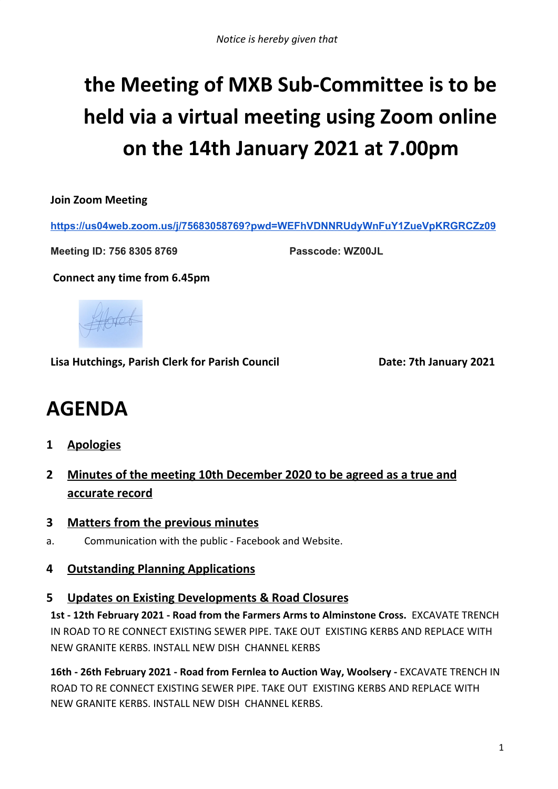# **the Meeting of MXB Sub-Committee is to be held via a virtual meeting using Zoom online on the 14th January 2021 at 7.00pm**

**Join Zoom Meeting**

**<https://us04web.zoom.us/j/75683058769?pwd=WEFhVDNNRUdyWnFuY1ZueVpKRGRCZz09>**

**Meeting ID: 756 8305 8769 Passcode: WZ00JL**

**Connect any time from 6.45pm**



**Lisa Hutchings, Parish Clerk for Parish Council Date: 7th January 2021**

# **AGENDA**

- **1 Apologies**
- **2 Minutes of the meeting 10th December 2020 to be agreed as a true and accurate record**
- **3 Matters from the previous minutes**
- a. Communication with the public Facebook and Website.

# **4 Outstanding Planning Applications**

#### **5 Updates on Existing Developments & Road Closures**

**1st - 12th February 2021 - Road from the Farmers Arms to Alminstone Cross.** EXCAVATE TRENCH IN ROAD TO RE CONNECT EXISTING SEWER PIPE. TAKE OUT EXISTING KERBS AND REPLACE WITH NEW GRANITE KERBS. INSTALL NEW DISH CHANNEL KERBS

**16th - 26th February 2021 - Road from Fernlea to Auction Way, Woolsery -** EXCAVATE TRENCH IN ROAD TO RE CONNECT EXISTING SEWER PIPE. TAKE OUT EXISTING KERBS AND REPLACE WITH NEW GRANITE KERBS. INSTALL NEW DISH CHANNEL KERBS.